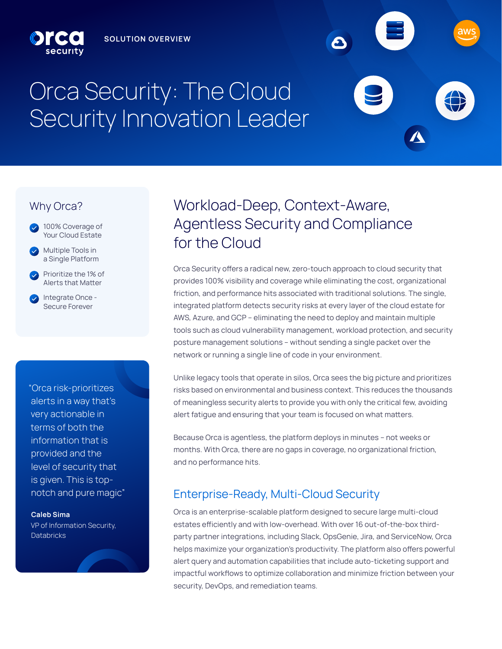# Orca Security: The Cloud Security Innovation Leader

## Why Orca?



Prioritize the 1% of Alerts that Matter

Integrate Once - Secure Forever

"Orca risk-prioritizes alerts in a way that's very actionable in terms of both the information that is provided and the level of security that is given. This is topnotch and pure magic"

**Caleb Sima** VP of Information Security, **Databricks** 

## Workload-Deep, Context-Aware, Agentless Security and Compliance for the Cloud

Orca Security offers a radical new, zero-touch approach to cloud security that provides 100% visibility and coverage while eliminating the cost, organizational friction, and performance hits associated with traditional solutions. The single, integrated platform detects security risks at every layer of the cloud estate for AWS, Azure, and GCP - eliminating the need to deploy and maintain multiple tools such as cloud vulnerability management, workload protection, and security posture management solutions - without sending a single packet over the network or running a single line of code in your environment.

Unlike legacy tools that operate in silos, Orca sees the big picture and prioritizes risks based on environmental and business context. This reduces the thousands of meaningless security alerts to provide you with only the critical few, avoiding alert fatigue and ensuring that your team is focused on what matters.

Because Orca is agentless, the platform deploys in minutes - not weeks or months. With Orca, there are no gaps in coverage, no organizational friction, and no performance hits.

## Enterprise-Ready, Multi-Cloud Security

Orca is an enterprise-scalable platform designed to secure large multi-cloud estates efficiently and with low-overhead. With over 16 out-of-the-box thirdparty partner integrations, including Slack, OpsGenie, Jira, and ServiceNow, Orca helps maximize your organization's productivity. The platform also offers powerful alert query and automation capabilities that include auto-ticketing support and impactful workflows to optimize collaboration and minimize friction between your security, DevOps, and remediation teams.